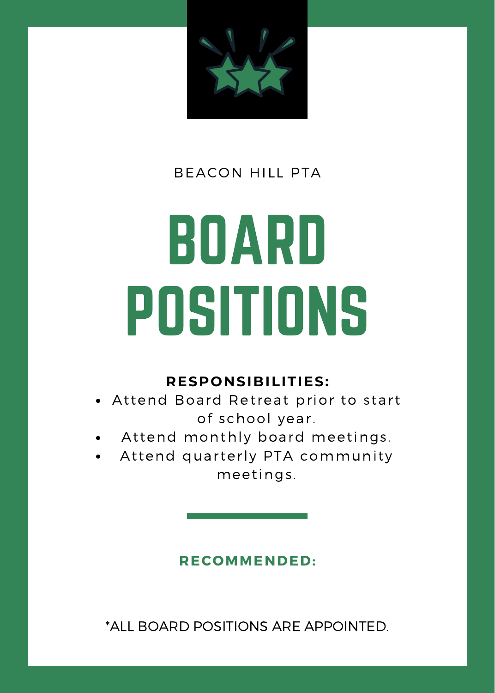

## BOARD POSITIONS

#### **RESPONSIBILITIES:**

- Attend Board Retreat prior to start of school year.
- Attend monthly board meetings.
- Attend quarterly PTA community meetings .

#### **RECOMMENDED:**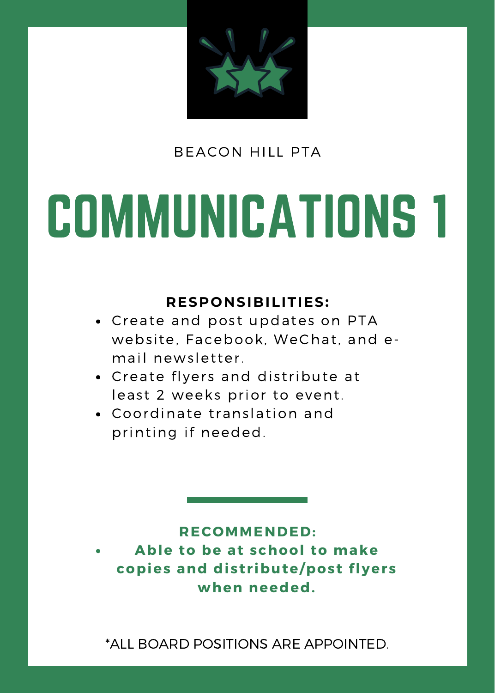

### COMMUNICATIONS 1

#### **RESPONSIBILITIES:**

- Create and post updates on PTA website, Facebook, WeChat, and email newsletter.
- Create flyers and distribute at least 2 weeks prior to event.
- Coordinate translation and printing if needed.

#### **RECOMMENDED:**

**Able to be at school to make copies and dist r ibute/post flyers when needed.**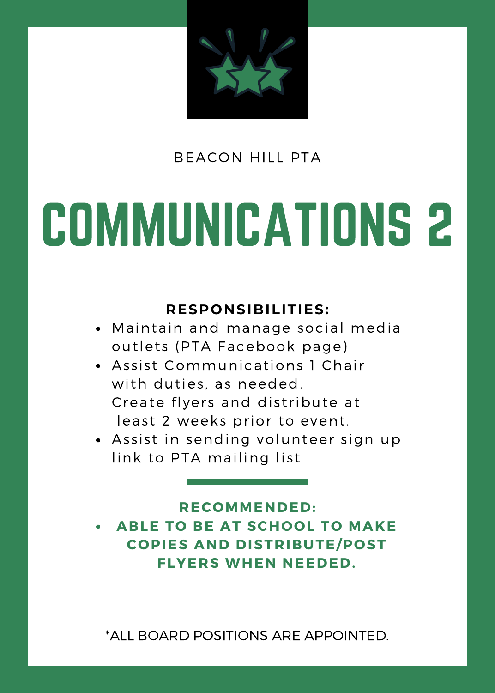

### COMMUNICATIONS 2

#### **RESPONSIBILITIES:**

- Maintain and manage social media outlets (PTA Facebook page)
- Assist Communications 1 Chair with duties, as needed. Create flyers and distribute at least 2 weeks prior to event.
- Assist in sending volunteer sign up link to PTA mailing list

**ABLE TO BE AT SCHOOL TO MAKE COPIES AND DISTRIBUTE/POST FLYERS WHEN NEEDED. RECOMMENDED:**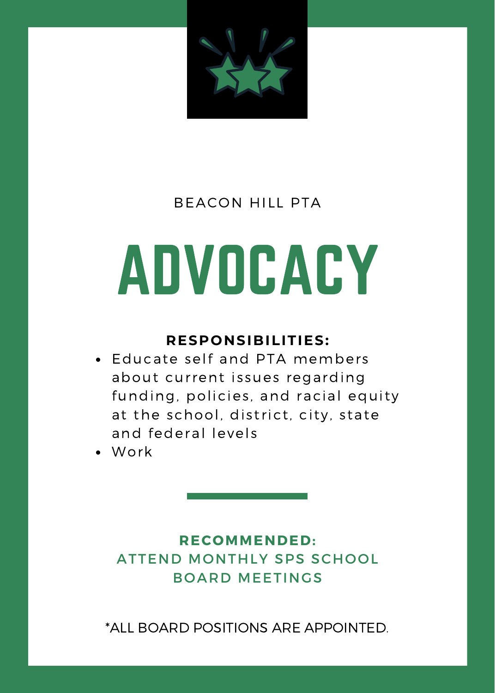

### ADVOCACY

#### **RESPONSIBILITIES:**

- Educate self and PTA members about current issues regarding funding, policies, and racial equity at the school, district, city, state and federal levels
- Work

#### **RECOMMENDED:** ATTEND MONTHLY SPS SCHOOL BOARD MEETINGS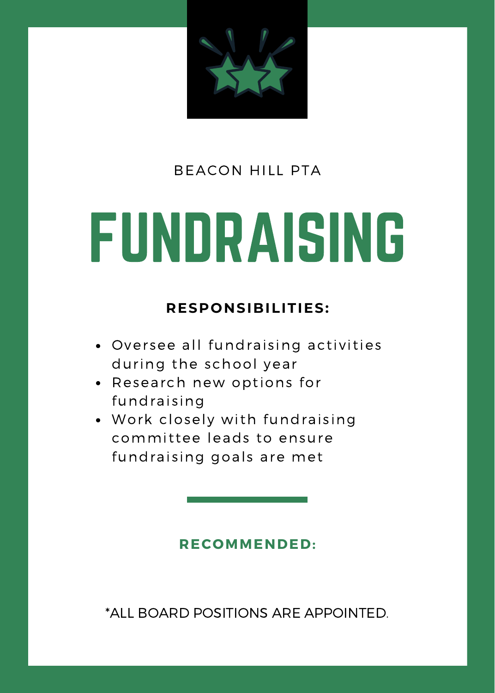

### FUNDRAISING

#### **RESPONSIBILITIES:**

- Oversee all fundraising activities during the school year
- Research new options for fundraising
- . Work closely with fundraising committee leads to ensure fundraising goals are met

#### **RECOMMENDED:**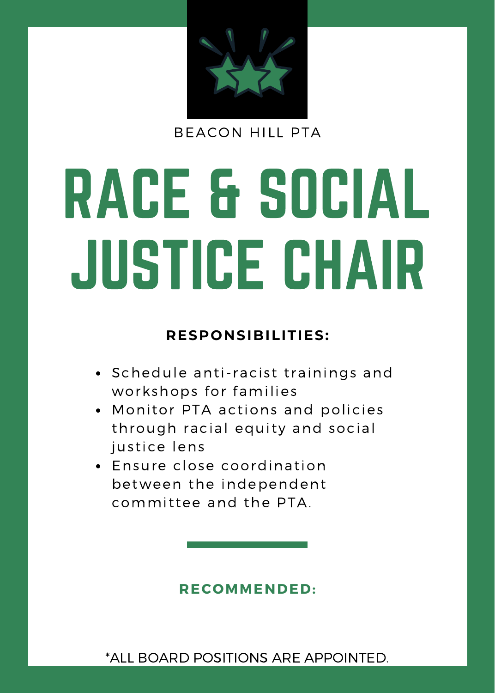

# RACE & SOCIAL JUSTICE CHAIR

#### **RESPONSIBILITIES:**

- Schedule anti-racist trainings and workshops for families
- Monitor PTA actions and policies through racial equity and social justice lens
- Ensure close coordination between the independent committee and the PTA.

#### **RECOMMENDED:**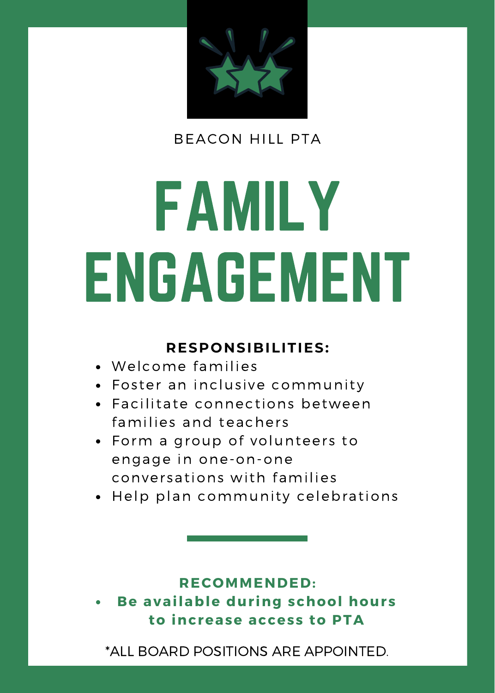

## FAMILY ENGAGEMENT

#### **RESPONSIBILITIES:**

- Welcome families
- Foster an inclusive community
- Facilitate connections between families and teachers
- Form a group of volunteers to engage in one-on-one conver sations with families
- Help plan community celebrations

#### **RECOMMENDED:**

**Be available dur ing school hours to increase access to PTA**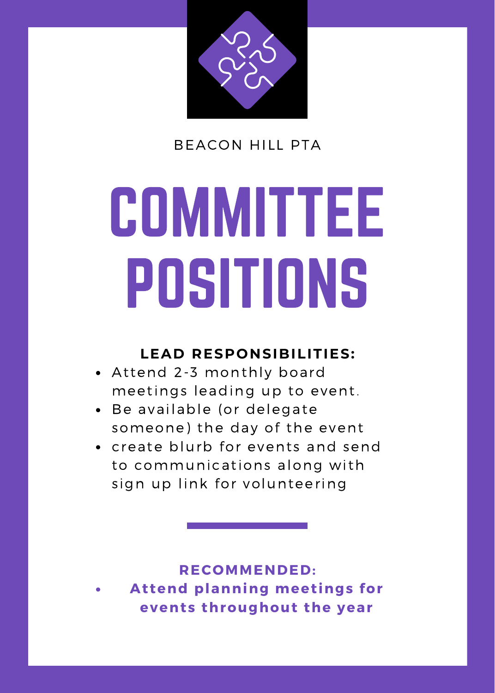

## **COMMITTEE** POSITIONS

#### **LEAD RESPONSIBILITIES:**

- Attend 2-3 monthly board meetings leading up to event.
- Be available (or delegate someone) the day of the event
- create blurb for events and send to communications along with sign up link for volunteering

**At tend planning meet ings for events throughout the year RECOMMENDED:**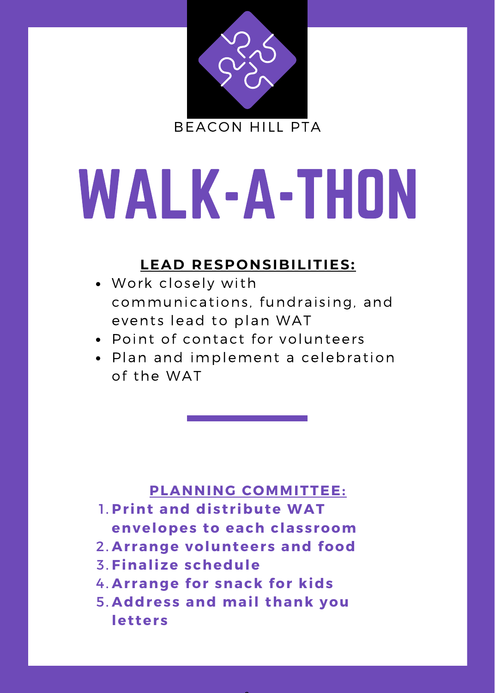

### WALK-A-THON

#### **LEAD RESPONSIBILITIES:**

- Work closely with communications, fundraising, and events lead to plan WAT
- Point of contact for volunteers
- Plan and implement a celebration of the WAT

- **Pr int and dist r ibute WAT** 1. **envelopes to each classroom**
- **Ar range volunteers and food** 2.
- **Finalize schedule** 3.
- **Ar range for snack for kids** 4.
- **Address and mail thank you** 5.**let ters**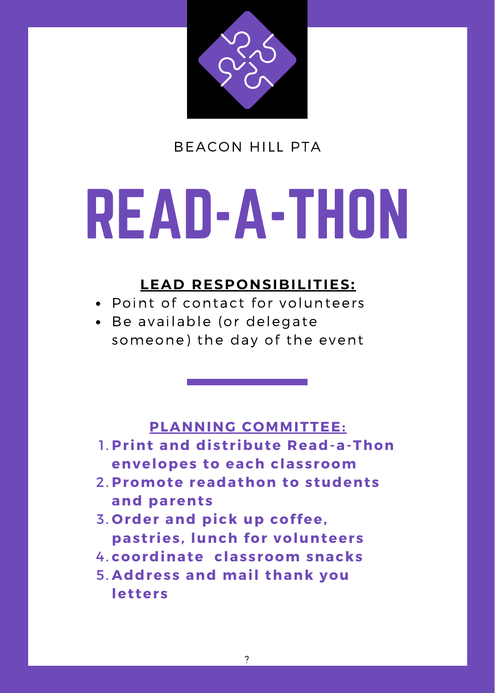

### READ-A-THON

#### **LEAD RESPONSIBILITIES:**

- Point of contact for volunteers
- Be available (or delegate someone) the day of the event

- **Pr int and dist r ibute Read-a-Thon** 1. **envelopes to each classroom**
- **Promote readathon to students** 2. **and parents**
- **Order and pick up coffee,** 3. **past r ies, lunch for volunteers**
- **coordinate classroom snacks** 4.
- **Address and mail thank you** 5.**let ters**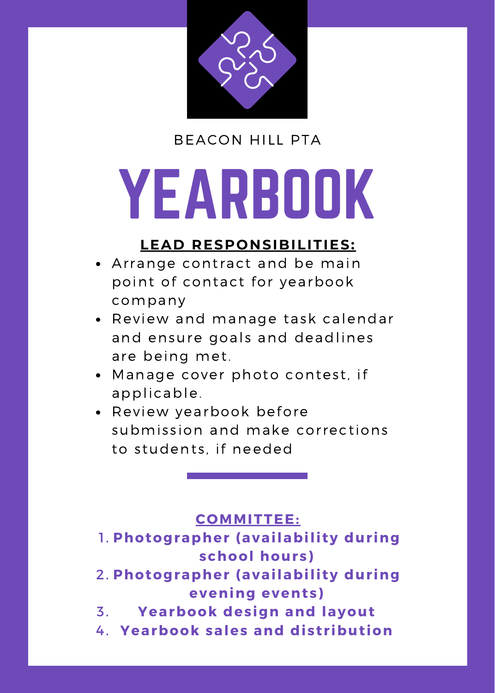

## YEARBOOK

#### **LEAD RESPONSIBILITIES:**

- Arrange contract and be main point of contact for yearbook company
- Review and manage task calendar and ensure goals and deadlines are being met.
- Manage cover photo contest, if applicable.
- Review yearbook before submission and make corrections to students, if needed

#### **COMMITTEE:**

- **1. Photographer (availability during school hours)**
- **2. Photographer (availability during evening events)**
- **Yearbook design and layout** 3.
- **Yearbook sales and dist r ibut ion** 4.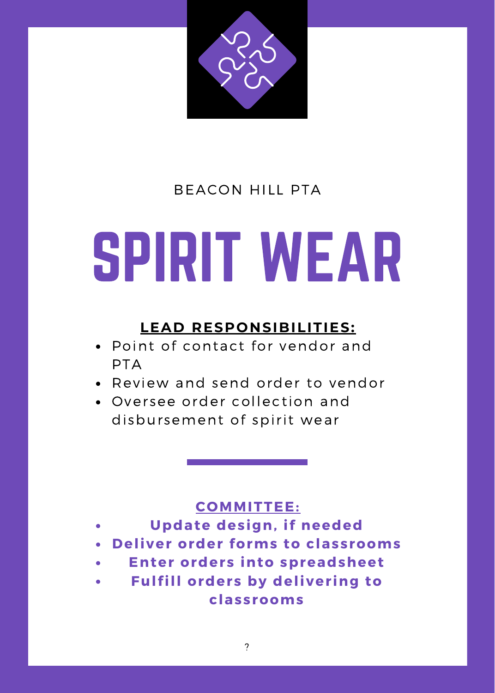

### SPIRIT WEAR

#### **LEAD RESPONSIBILITIES:**

- Point of contact for vendor and PTA
- Review and send order to vendor
- Oversee order collection and disbursement of spirit wear

#### **COMMITTEE:**

- **Update design, if needed**
- **Deliver order forms to classrooms**
- **Enter orders into spreadsheet**
- **Fulfill orders by deliver ing to classrooms**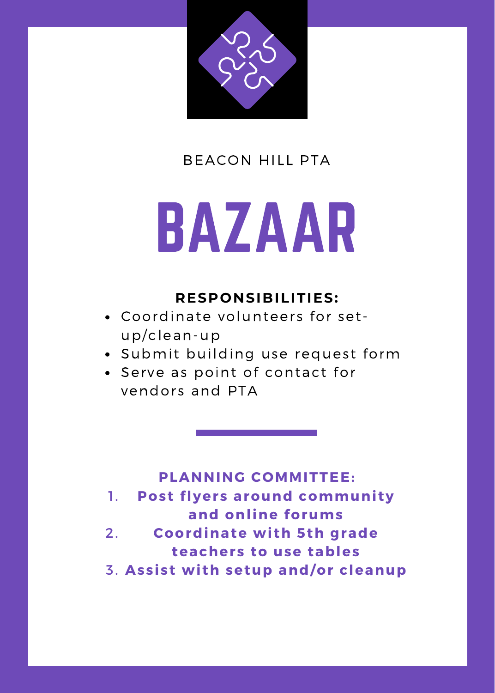

### BAZAAR

#### **RESPONSIBILITIES:**

- Coordinate volunteers for setup/clean-up
- Submit building use request form
- Serve as point of contact for vendors and PTA

- **Post flyers around communi ty and online forums** 1.
- **Coordinate wi th 5th grade teachers to use tables** 2.
- **Assist wi th setup and/or cleanup** 3.